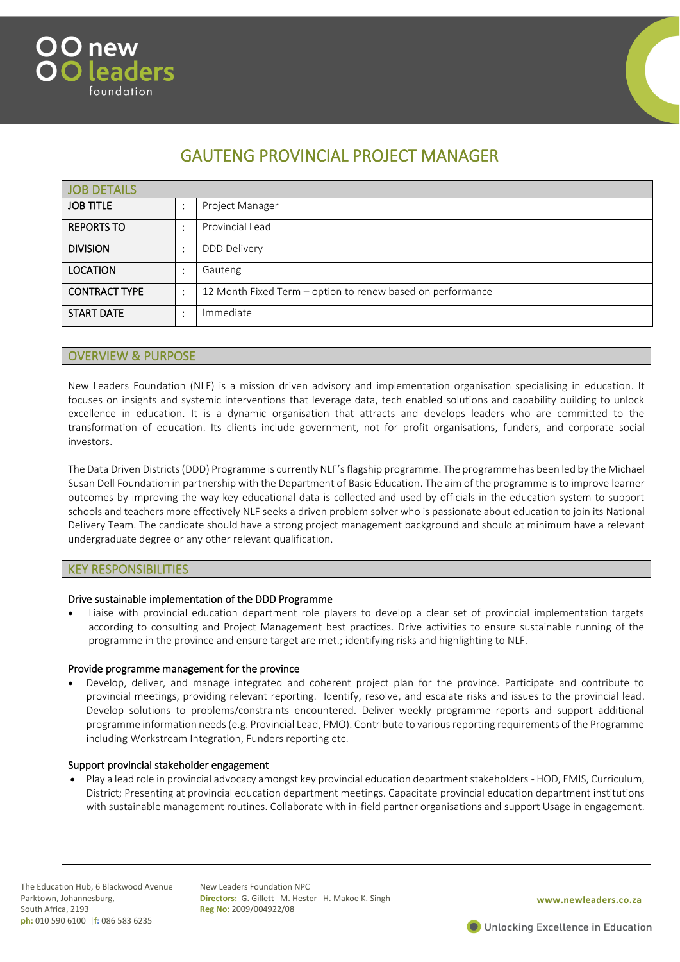



# GAUTENG PROVINCIAL PROJECT MANAGER

| JOB DETAILS          |           |                                                            |
|----------------------|-----------|------------------------------------------------------------|
| <b>JOB TITLE</b>     |           | Project Manager                                            |
| <b>REPORTS TO</b>    |           | Provincial Lead                                            |
| <b>DIVISION</b>      | ٠         | <b>DDD Delivery</b>                                        |
| <b>LOCATION</b>      |           | Gauteng                                                    |
| <b>CONTRACT TYPE</b> | $\bullet$ | 12 Month Fixed Term - option to renew based on performance |
| <b>START DATE</b>    |           | Immediate                                                  |

### OVERVIEW & PURPOSE

New Leaders Foundation (NLF) is a mission driven advisory and implementation organisation specialising in education. It focuses on insights and systemic interventions that leverage data, tech enabled solutions and capability building to unlock excellence in education. It is a dynamic organisation that attracts and develops leaders who are committed to the transformation of education. Its clients include government, not for profit organisations, funders, and corporate social investors.

The Data Driven Districts (DDD) Programme is currently NLF's flagship programme. The programme has been led by the Michael Susan Dell Foundation in partnership with the Department of Basic Education. The aim of the programme is to improve learner outcomes by improving the way key educational data is collected and used by officials in the education system to support schools and teachers more effectively NLF seeks a driven problem solver who is passionate about education to join its National Delivery Team. The candidate should have a strong project management background and should at minimum have a relevant undergraduate degree or any other relevant qualification.

#### KEY RESPONSIBILITIES

#### Drive sustainable implementation of the DDD Programme

• Liaise with provincial education department role players to develop a clear set of provincial implementation targets according to consulting and Project Management best practices. Drive activities to ensure sustainable running of the programme in the province and ensure target are met.; identifying risks and highlighting to NLF.

#### Provide programme management for the province

• Develop, deliver, and manage integrated and coherent project plan for the province. Participate and contribute to provincial meetings, providing relevant reporting. Identify, resolve, and escalate risks and issues to the provincial lead. Develop solutions to problems/constraints encountered. Deliver weekly programme reports and support additional programme information needs (e.g. Provincial Lead, PMO). Contribute to various reporting requirements of the Programme including Workstream Integration, Funders reporting etc.

#### Support provincial stakeholder engagement

• Play a lead role in provincial advocacy amongst key provincial education department stakeholders - HOD, EMIS, Curriculum, District; Presenting at provincial education department meetings. Capacitate provincial education department institutions with sustainable management routines. Collaborate with in-field partner organisations and support Usage in engagement.

New Leaders Foundation NPC **Directors:** G. Gillett M. Hester H. Makoe K. Singh **Reg No:** 2009/004922/08

**www.newleaders.co.za**

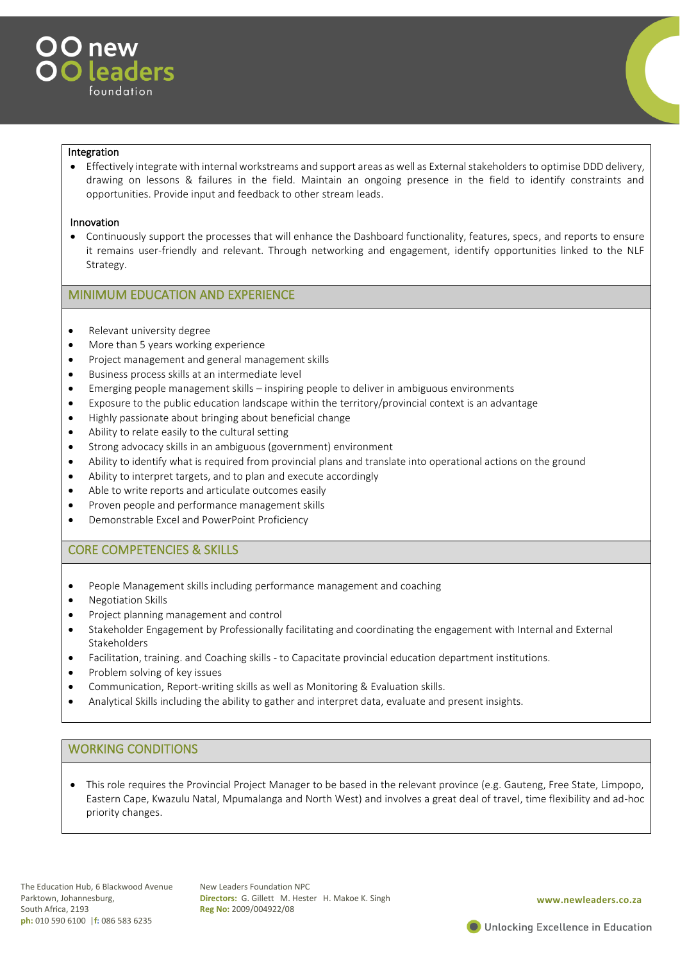

#### Integration

• Effectively integrate with internal workstreams and support areas as well as External stakeholders to optimise DDD delivery, drawing on lessons & failures in the field. Maintain an ongoing presence in the field to identify constraints and opportunities. Provide input and feedback to other stream leads.

#### Innovation

• Continuously support the processes that will enhance the Dashboard functionality, features, specs, and reports to ensure it remains user-friendly and relevant. Through networking and engagement, identify opportunities linked to the NLF Strategy.

# MINIMUM EDUCATION AND EXPERIENCE

- Relevant university degree
- More than 5 years working experience
- Project management and general management skills
- Business process skills at an intermediate level
- Emerging people management skills inspiring people to deliver in ambiguous environments
- Exposure to the public education landscape within the territory/provincial context is an advantage
- Highly passionate about bringing about beneficial change
- Ability to relate easily to the cultural setting
- Strong advocacy skills in an ambiguous (government) environment
- Ability to identify what is required from provincial plans and translate into operational actions on the ground
- Ability to interpret targets, and to plan and execute accordingly
- Able to write reports and articulate outcomes easily
- Proven people and performance management skills
- Demonstrable Excel and PowerPoint Proficiency

# CORE COMPETENCIES & SKILLS

- People Management skills including performance management and coaching
- Negotiation Skills
- Project planning management and control
- Stakeholder Engagement by Professionally facilitating and coordinating the engagement with Internal and External Stakeholders
- Facilitation, training. and Coaching skills to Capacitate provincial education department institutions.
- Problem solving of key issues
- Communication, Report-writing skills as well as Monitoring & Evaluation skills.
- Analytical Skills including the ability to gather and interpret data, evaluate and present insights.

# WORKING CONDITIONS

• This role requires the Provincial Project Manager to be based in the relevant province (e.g. Gauteng, Free State, Limpopo, Eastern Cape, Kwazulu Natal, Mpumalanga and North West) and involves a great deal of travel, time flexibility and ad-hoc priority changes.

New Leaders Foundation NPC **Directors:** G. Gillett M. Hester H. Makoe K. Singh **Reg No:** 2009/004922/08

#### **www.newleaders.co.za**